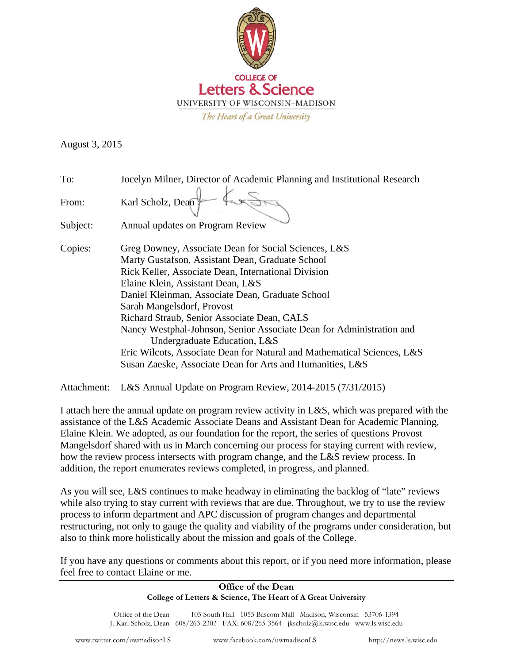

August 3, 2015

| To:      | Jocelyn Milner, Director of Academic Planning and Institutional Research |
|----------|--------------------------------------------------------------------------|
| From:    | Karl Scholz, Dean                                                        |
| Subject: | Annual updates on Program Review                                         |
| Copies:  | Greg Downey, Associate Dean for Social Sciences, L&S                     |
|          | Marty Gustafson, Assistant Dean, Graduate School                         |
|          | Rick Keller, Associate Dean, International Division                      |
|          | Elaine Klein, Assistant Dean, L&S                                        |
|          | Daniel Kleinman, Associate Dean, Graduate School                         |
|          | Sarah Mangelsdorf, Provost                                               |
|          | Richard Straub, Senior Associate Dean, CALS                              |
|          | Nancy Westphal-Johnson, Senior Associate Dean for Administration and     |
|          | Undergraduate Education, L&S                                             |
|          | Eric Wilcots, Associate Dean for Natural and Mathematical Sciences, L&S  |
|          | Susan Zaeske, Associate Dean for Arts and Humanities, L&S                |

Attachment: L&S Annual Update on Program Review, 2014-2015 (7/31/2015)

I attach here the annual update on program review activity in L&S, which was prepared with the assistance of the L&S Academic Associate Deans and Assistant Dean for Academic Planning, Elaine Klein. We adopted, as our foundation for the report, the series of questions Provost Mangelsdorf shared with us in March concerning our process for staying current with review, how the review process intersects with program change, and the L&S review process. In addition, the report enumerates reviews completed, in progress, and planned.

As you will see, L&S continues to make headway in eliminating the backlog of "late" reviews while also trying to stay current with reviews that are due. Throughout, we try to use the review process to inform department and APC discussion of program changes and departmental restructuring, not only to gauge the quality and viability of the programs under consideration, but also to think more holistically about the mission and goals of the College.

If you have any questions or comments about this report, or if you need more information, please feel free to contact Elaine or me.

#### **Office of the Dean College of Letters & Science, The Heart of A Great University**

Office of the Dean 105 South Hall 1055 Bascom Mall Madison, Wisconsin 53706-1394 J. Karl Scholz, Dean 608/263-2303 FAX: 608/265-3564 jkscholz@ls.wisc.edu www.ls.wisc.edu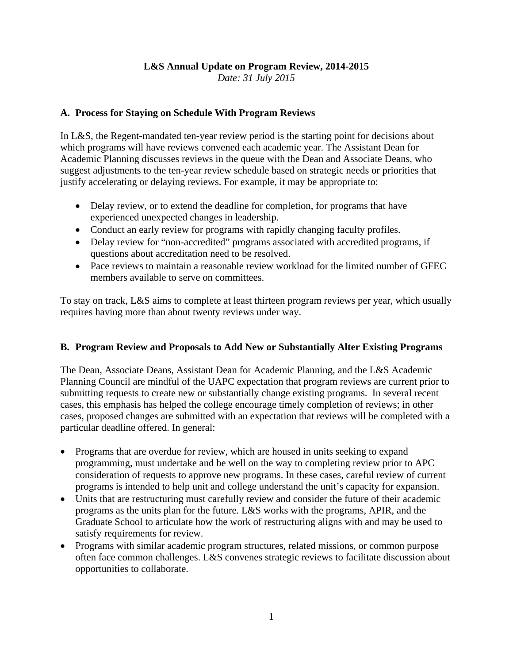# **L&S Annual Update on Program Review, 2014-2015**

*Date: 31 July 2015* 

### **A. Process for Staying on Schedule With Program Reviews**

In L&S, the Regent-mandated ten-year review period is the starting point for decisions about which programs will have reviews convened each academic year. The Assistant Dean for Academic Planning discusses reviews in the queue with the Dean and Associate Deans, who suggest adjustments to the ten-year review schedule based on strategic needs or priorities that justify accelerating or delaying reviews. For example, it may be appropriate to:

- Delay review, or to extend the deadline for completion, for programs that have experienced unexpected changes in leadership.
- Conduct an early review for programs with rapidly changing faculty profiles.
- Delay review for "non-accredited" programs associated with accredited programs, if questions about accreditation need to be resolved.
- Pace reviews to maintain a reasonable review workload for the limited number of GFEC members available to serve on committees.

To stay on track, L&S aims to complete at least thirteen program reviews per year, which usually requires having more than about twenty reviews under way.

### **B. Program Review and Proposals to Add New or Substantially Alter Existing Programs**

The Dean, Associate Deans, Assistant Dean for Academic Planning, and the L&S Academic Planning Council are mindful of the UAPC expectation that program reviews are current prior to submitting requests to create new or substantially change existing programs. In several recent cases, this emphasis has helped the college encourage timely completion of reviews; in other cases, proposed changes are submitted with an expectation that reviews will be completed with a particular deadline offered. In general:

- Programs that are overdue for review, which are housed in units seeking to expand programming, must undertake and be well on the way to completing review prior to APC consideration of requests to approve new programs. In these cases, careful review of current programs is intended to help unit and college understand the unit's capacity for expansion.
- Units that are restructuring must carefully review and consider the future of their academic programs as the units plan for the future. L&S works with the programs, APIR, and the Graduate School to articulate how the work of restructuring aligns with and may be used to satisfy requirements for review.
- Programs with similar academic program structures, related missions, or common purpose often face common challenges. L&S convenes strategic reviews to facilitate discussion about opportunities to collaborate.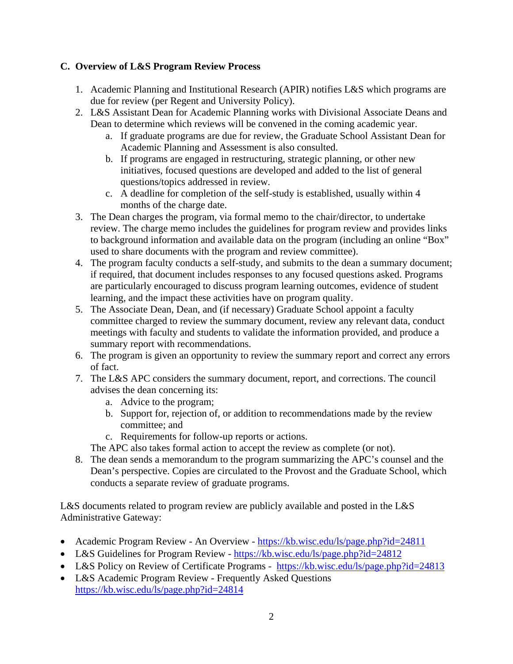## **C. Overview of L&S Program Review Process**

- 1. Academic Planning and Institutional Research (APIR) notifies L&S which programs are due for review (per Regent and University Policy).
- 2. L&S Assistant Dean for Academic Planning works with Divisional Associate Deans and Dean to determine which reviews will be convened in the coming academic year.
	- a. If graduate programs are due for review, the Graduate School Assistant Dean for Academic Planning and Assessment is also consulted.
	- b. If programs are engaged in restructuring, strategic planning, or other new initiatives, focused questions are developed and added to the list of general questions/topics addressed in review.
	- c. A deadline for completion of the self-study is established, usually within 4 months of the charge date.
- 3. The Dean charges the program, via formal memo to the chair/director, to undertake review. The charge memo includes the guidelines for program review and provides links to background information and available data on the program (including an online "Box" used to share documents with the program and review committee).
- 4. The program faculty conducts a self-study, and submits to the dean a summary document; if required, that document includes responses to any focused questions asked. Programs are particularly encouraged to discuss program learning outcomes, evidence of student learning, and the impact these activities have on program quality.
- 5. The Associate Dean, Dean, and (if necessary) Graduate School appoint a faculty committee charged to review the summary document, review any relevant data, conduct meetings with faculty and students to validate the information provided, and produce a summary report with recommendations.
- 6. The program is given an opportunity to review the summary report and correct any errors of fact.
- 7. The L&S APC considers the summary document, report, and corrections. The council advises the dean concerning its:
	- a. Advice to the program;
	- b. Support for, rejection of, or addition to recommendations made by the review committee; and
	- c. Requirements for follow-up reports or actions.

The APC also takes formal action to accept the review as complete (or not).

8. The dean sends a memorandum to the program summarizing the APC's counsel and the Dean's perspective. Copies are circulated to the Provost and the Graduate School, which conducts a separate review of graduate programs.

L&S documents related to program review are publicly available and posted in the L&S Administrative Gateway:

- Academic Program Review An Overview https://kb.wisc.edu/ls/page.php?id=24811
- L&S Guidelines for Program Review https://kb.wisc.edu/ls/page.php?id=24812
- L&S Policy on Review of Certificate Programs https://kb.wisc.edu/ls/page.php?id=24813
- L&S Academic Program Review Frequently Asked Questions https://kb.wisc.edu/ls/page.php?id=24814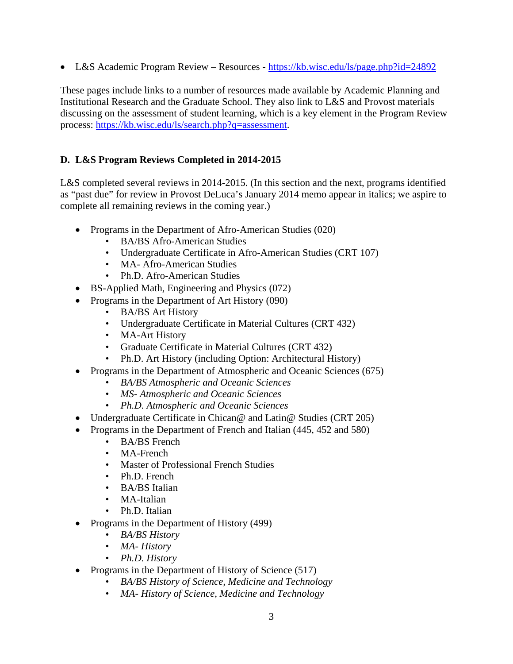• L&S Academic Program Review – Resources - https://kb.wisc.edu/ls/page.php?id=24892

These pages include links to a number of resources made available by Academic Planning and Institutional Research and the Graduate School. They also link to L&S and Provost materials discussing on the assessment of student learning, which is a key element in the Program Review process: https://kb.wisc.edu/ls/search.php?q=assessment.

## **D. L&S Program Reviews Completed in 2014-2015**

L&S completed several reviews in 2014-2015. (In this section and the next, programs identified as "past due" for review in Provost DeLuca's January 2014 memo appear in italics; we aspire to complete all remaining reviews in the coming year.)

- Programs in the Department of Afro-American Studies (020)
	- BA/BS Afro-American Studies
	- Undergraduate Certificate in Afro-American Studies (CRT 107)
	- MA- Afro-American Studies
	- Ph.D. Afro-American Studies
- BS-Applied Math, Engineering and Physics (072)
- Programs in the Department of Art History (090)
	- BA/BS Art History
	- Undergraduate Certificate in Material Cultures (CRT 432)
	- MA-Art History
	- Graduate Certificate in Material Cultures (CRT 432)
	- Ph.D. Art History (including Option: Architectural History)
- Programs in the Department of Atmospheric and Oceanic Sciences (675)
	- *BA/BS Atmospheric and Oceanic Sciences*
	- *MS- Atmospheric and Oceanic Sciences*
	- *Ph.D. Atmospheric and Oceanic Sciences*
- Undergraduate Certificate in Chican@ and Latin@ Studies (CRT 205)
- Programs in the Department of French and Italian (445, 452 and 580)
	- BA/BS French
	- MA-French
	- Master of Professional French Studies
	- Ph.D. French
	- BA/BS Italian
	- MA-Italian
	- Ph.D. Italian
- Programs in the Department of History (499)
	- *BA/BS History*
	- *MA- History*
	- *Ph.D. History*
- Programs in the Department of History of Science (517)
	- *BA/BS History of Science, Medicine and Technology*
	- *MA- History of Science, Medicine and Technology*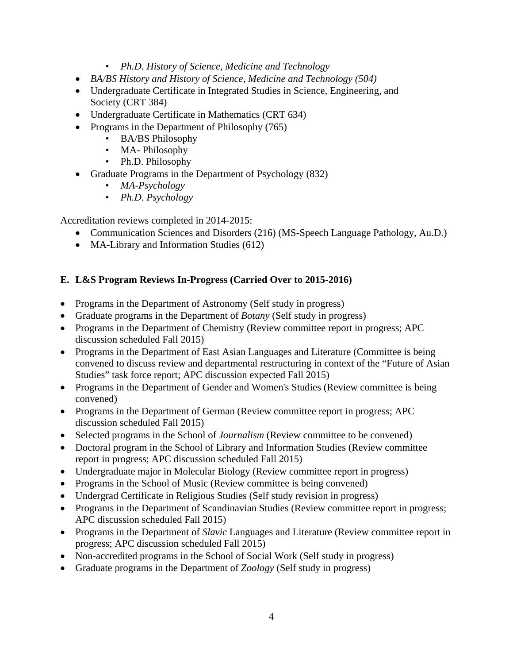- *Ph.D. History of Science, Medicine and Technology*
- *BA/BS History and History of Science, Medicine and Technology (504)*
- Undergraduate Certificate in Integrated Studies in Science, Engineering, and Society (CRT 384)
- Undergraduate Certificate in Mathematics (CRT 634)
- Programs in the Department of Philosophy (765)
	- BA/BS Philosophy
	- MA- Philosophy
	- Ph.D. Philosophy
- Graduate Programs in the Department of Psychology (832)
	- *MA-Psychology*
	- *Ph.D. Psychology*

Accreditation reviews completed in 2014-2015:

- Communication Sciences and Disorders (216) (MS-Speech Language Pathology, Au.D.)
- MA-Library and Information Studies (612)

## **E. L&S Program Reviews In-Progress (Carried Over to 2015-2016)**

- Programs in the Department of Astronomy (Self study in progress)
- Graduate programs in the Department of *Botany* (Self study in progress)
- Programs in the Department of Chemistry (Review committee report in progress; APC discussion scheduled Fall 2015)
- Programs in the Department of East Asian Languages and Literature (Committee is being convened to discuss review and departmental restructuring in context of the "Future of Asian Studies" task force report; APC discussion expected Fall 2015)
- Programs in the Department of Gender and Women's Studies (Review committee is being convened)
- Programs in the Department of German (Review committee report in progress; APC discussion scheduled Fall 2015)
- Selected programs in the School of *Journalism* (Review committee to be convened)
- Doctoral program in the School of Library and Information Studies (Review committee report in progress; APC discussion scheduled Fall 2015)
- Undergraduate major in Molecular Biology (Review committee report in progress)
- Programs in the School of Music (Review committee is being convened)
- Undergrad Certificate in Religious Studies (Self study revision in progress)
- Programs in the Department of Scandinavian Studies (Review committee report in progress; APC discussion scheduled Fall 2015)
- Programs in the Department of *Slavic* Languages and Literature (Review committee report in progress; APC discussion scheduled Fall 2015)
- Non-accredited programs in the School of Social Work (Self study in progress)
- Graduate programs in the Department of *Zoology* (Self study in progress)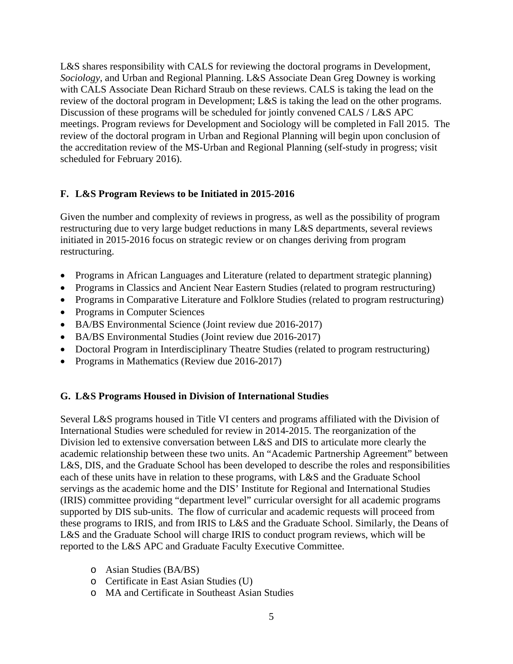L&S shares responsibility with CALS for reviewing the doctoral programs in Development, *Sociology*, and Urban and Regional Planning. L&S Associate Dean Greg Downey is working with CALS Associate Dean Richard Straub on these reviews. CALS is taking the lead on the review of the doctoral program in Development; L&S is taking the lead on the other programs. Discussion of these programs will be scheduled for jointly convened CALS / L&S APC meetings. Program reviews for Development and Sociology will be completed in Fall 2015. The review of the doctoral program in Urban and Regional Planning will begin upon conclusion of the accreditation review of the MS-Urban and Regional Planning (self-study in progress; visit scheduled for February 2016).

## **F. L&S Program Reviews to be Initiated in 2015-2016**

Given the number and complexity of reviews in progress, as well as the possibility of program restructuring due to very large budget reductions in many L&S departments, several reviews initiated in 2015-2016 focus on strategic review or on changes deriving from program restructuring.

- Programs in African Languages and Literature (related to department strategic planning)
- Programs in Classics and Ancient Near Eastern Studies (related to program restructuring)
- Programs in Comparative Literature and Folklore Studies (related to program restructuring)
- Programs in Computer Sciences
- BA/BS Environmental Science (Joint review due 2016-2017)
- BA/BS Environmental Studies (Joint review due 2016-2017)
- Doctoral Program in Interdisciplinary Theatre Studies (related to program restructuring)
- Programs in Mathematics (Review due 2016-2017)

### **G. L&S Programs Housed in Division of International Studies**

Several L&S programs housed in Title VI centers and programs affiliated with the Division of International Studies were scheduled for review in 2014-2015. The reorganization of the Division led to extensive conversation between L&S and DIS to articulate more clearly the academic relationship between these two units. An "Academic Partnership Agreement" between L&S, DIS, and the Graduate School has been developed to describe the roles and responsibilities each of these units have in relation to these programs, with L&S and the Graduate School servings as the academic home and the DIS' Institute for Regional and International Studies (IRIS) committee providing "department level" curricular oversight for all academic programs supported by DIS sub-units. The flow of curricular and academic requests will proceed from these programs to IRIS, and from IRIS to L&S and the Graduate School. Similarly, the Deans of L&S and the Graduate School will charge IRIS to conduct program reviews, which will be reported to the L&S APC and Graduate Faculty Executive Committee.

- o Asian Studies (BA/BS)
- o Certificate in East Asian Studies (U)
- o MA and Certificate in Southeast Asian Studies